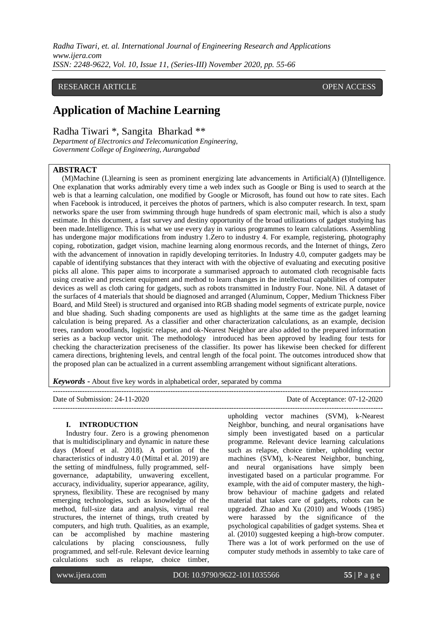*Radha Tiwari, et. al. International Journal of Engineering Research and Applications www.ijera.com ISSN: 2248-9622, Vol. 10, Issue 11, (Series-III) November 2020, pp. 55-66*

# RESEARCH ARTICLE **CONSERVERS** OPEN ACCESS

# **Application of Machine Learning**

Radha Tiwari \*, Sangita Bharkad \*\*

*Department of Electronics and Telecomunication Engineering, Government College of Engineering, Aurangabad*

## **ABSTRACT**

(M)Machine (L)learning is seen as prominent energizing late advancements in Artificial(A) (I)Intelligence. One explanation that works admirably every time a web index such as Google or Bing is used to search at the web is that a learning calculation, one modified by Google or Microsoft, has found out how to rate sites. Each when Facebook is introduced, it perceives the photos of partners, which is also computer research. In text, spam networks spare the user from swimming through huge hundreds of spam electronic mail, which is also a study estimate. In this document, a fast survey and destiny opportunity of the broad utilizations of gadget studying has been made.Intelligence. This is what we use every day in various programmes to learn calculations. Assembling has undergone major modifications from industry 1.Zero to industry 4. For example, registering, photography coping, robotization, gadget vision, machine learning along enormous records, and the Internet of things, Zero with the advancement of innovation in rapidly developing territories. In Industry 4.0, computer gadgets may be capable of identifying substances that they interact with with the objective of evaluating and executing positive picks all alone. This paper aims to incorporate a summarised approach to automated cloth recognisable facts using creative and prescient equipment and method to learn changes in the intellectual capabilities of computer devices as well as cloth caring for gadgets, such as robots transmitted in Industry Four. None. Nil. A dataset of the surfaces of 4 materials that should be diagnosed and arranged (Aluminum, Copper, Medium Thickness Fiber Board, and Mild Steel) is structured and organised into RGB shading model segments of extricate purple, novice and blue shading. Such shading components are used as highlights at the same time as the gadget learning calculation is being prepared. As a classifier and other characterization calculations, as an example, decision trees, random woodlands, logistic relapse, and ok-Nearest Neighbor are also added to the prepared information series as a backup vector unit. The methodology introduced has been approved by leading four tests for checking the characterization preciseness of the classifier. Its power has likewise been checked for different camera directions, brightening levels, and central length of the focal point. The outcomes introduced show that the proposed plan can be actualized in a current assembling arrangement without significant alterations.

---------------------------------------------------------------------------------------------------------------------------------------

---------------------------------------------------------------------------------------------------------------------------------------

*Keywords* **-** About five key words in alphabetical order, separated by comma

Date of Submission: 24-11-2020

#### **I. INTRODUCTION**

Industry four. Zero is a growing phenomenon that is multidisciplinary and dynamic in nature these days (Moeuf et al. 2018). A portion of the characteristics of industry 4.0 (Mittal et al. 2019) are the setting of mindfulness, fully programmed, selfgovernance, adaptability, unwavering excellent, accuracy, individuality, superior appearance, agility, spryness, flexibility. These are recognised by many emerging technologies, such as knowledge of the method, full-size data and analysis, virtual real structures, the internet of things, truth created by computers, and high truth. Qualities, as an example, can be accomplished by machine mastering calculations by placing consciousness, fully programmed, and self-rule. Relevant device learning calculations such as relapse, choice timber,

upholding vector machines (SVM), k-Nearest Neighbor, bunching, and neural organisations have simply been investigated based on a particular programme. Relevant device learning calculations such as relapse, choice timber, upholding vector machines (SVM), k-Nearest Neighbor, bunching, and neural organisations have simply been investigated based on a particular programme. For example, with the aid of computer mastery, the highbrow behaviour of machine gadgets and related material that takes care of gadgets, robots can be upgraded. Zhao and Xu (2010) and Woods (1985) were harassed by the significance of the psychological capabilities of gadget systems. Shea et al. (2010) suggested keeping a high-brow computer. There was a lot of work performed on the use of computer study methods in assembly to take care of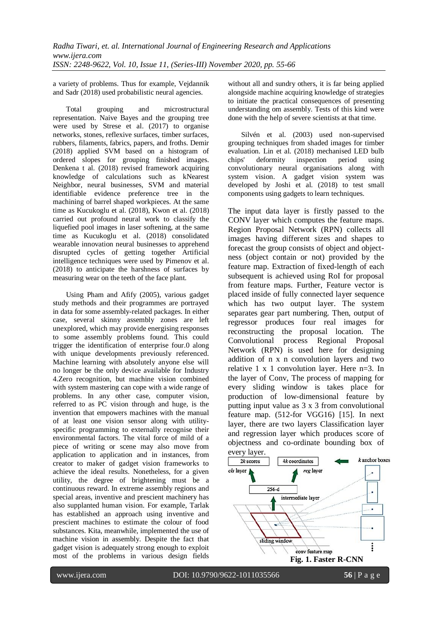a variety of problems. Thus for example, Vejdannik and Sadr (2018) used probabilistic neural agencies.

Total grouping and microstructural representation. Naive Bayes and the grouping tree were used by Strese et al. (2017) to organise networks, stones, reflexive surfaces, timber surfaces, rubbers, filaments, fabrics, papers, and froths. Demir (2018) applied SVM based on a histogram of ordered slopes for grouping finished images. Denkena t al. (2018) revised framework acquiring knowledge of calculations such as kNearest Neighbor, neural businesses, SVM and material identifiable evidence preference tree in the machining of barrel shaped workpieces. At the same time as Kucukoglu et al. (2018), Kwon et al. (2018) carried out profound neural work to classify the liquefied pool images in laser softening, at the same time as Kucukoglu et al. (2018) consolidated wearable innovation neural businesses to apprehend disrupted cycles of getting together Artificial intelligence techniques were used by Pimenov et al. (2018) to anticipate the harshness of surfaces by measuring wear on the teeth of the face plant.

Using Pham and Afify (2005), various gadget study methods and their programmes are portrayed in data for some assembly-related packages. In either case, several skinny assembly zones are left unexplored, which may provide energising responses to some assembly problems found. This could trigger the identification of enterprise four.0 along with unique developments previously referenced. Machine learning with absolutely anyone else will no longer be the only device available for Industry 4.Zero recognition, but machine vision combined with system mastering can cope with a wide range of problems. In any other case, computer vision, referred to as PC vision through and huge, is the invention that empowers machines with the manual of at least one vision sensor along with utilityspecific programming to externally recognise their environmental factors. The vital force of mild of a piece of writing or scene may also move from application to application and in instances, from creator to maker of gadget vision frameworks to achieve the ideal results. Nonetheless, for a given utility, the degree of brightening must be a continuous reward. In extreme assembly regions and special areas, inventive and prescient machinery has also supplanted human vision. For example, Tarlak has established an approach using inventive and prescient machines to estimate the colour of food substances. Kita, meanwhile, implemented the use of machine vision in assembly. Despite the fact that gadget vision is adequately strong enough to exploit most of the problems in various design fields

without all and sundry others, it is far being applied alongside machine acquiring knowledge of strategies to initiate the practical consequences of presenting understanding om assembly. Tests of this kind were done with the help of severe scientists at that time.

Silvén et al. (2003) used non-supervised grouping techniques from shaded images for timber evaluation. Lin et al. (2018) mechanised LED bulb chips' deformity inspection period using convolutionary neural organisations along with system vision. A gadget vision system was developed by Joshi et al. (2018) to test small components using gadgets to learn techniques.

The input data layer is firstly passed to the CONV layer which computes the feature maps. Region Proposal Network (RPN) collects all images having different sizes and shapes to forecast the group consists of object and objectness (object contain or not) provided by the feature map. Extraction of fixed-length of each subsequent is achieved using RoI for proposal from feature maps. Further, Feature vector is placed inside of fully connected layer sequence which has two output layer. The system separates gear part numbering. Then, output of regressor produces four real images for reconstructing the proposal location. The Convolutional process Regional Proposal Network (RPN) is used here for designing addition of n x n convolution layers and two relative 1 x 1 convolution layer. Here n=3. In the layer of Conv, The process of mapping for every sliding window is takes place for production of low-dimensional feature by putting input value as 3 x 3 from convolutional feature map. (512-for VGG16) [15]. In next layer, there are two layers Classification layer and regression layer which produces score of objectness and co-ordinate bounding box of every layer.

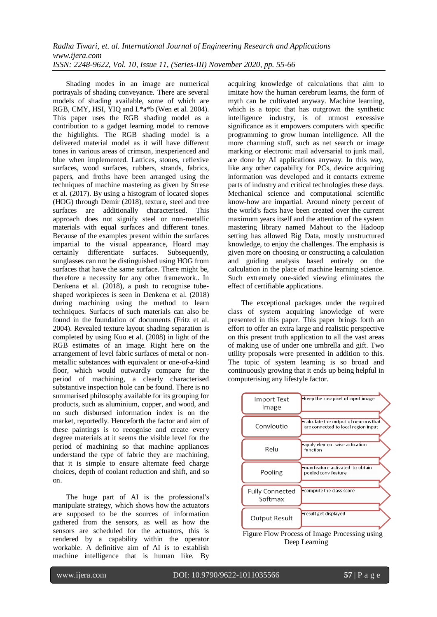Shading modes in an image are numerical portrayals of shading conveyance. There are several models of shading available, some of which are RGB, CMY, HSI, YIQ and L\*a\*b (Wen et al. 2004). This paper uses the RGB shading model as a contribution to a gadget learning model to remove the highlights. The RGB shading model is a delivered material model as it will have different tones in various areas of crimson, inexperienced and blue when implemented. Lattices, stones, reflexive surfaces, wood surfaces, rubbers, strands, fabrics, papers, and froths have been arranged using the techniques of machine mastering as given by Strese et al. (2017). By using a histogram of located slopes (HOG) through Demir (2018), texture, steel and tree surfaces are additionally characterised. This approach does not signify steel or non-metallic materials with equal surfaces and different tones. Because of the examples present within the surfaces impartial to the visual appearance, Hoard may certainly differentiate surfaces. Subsequently, sunglasses can not be distinguished using HOG from surfaces that have the same surface. There might be, therefore a necessity for any other framework.. In Denkena et al. (2018), a push to recognise tubeshaped workpieces is seen in Denkena et al. (2018) during machining using the method to learn techniques. Surfaces of such materials can also be found in the foundation of documents (Fritz et al. 2004). Revealed texture layout shading separation is completed by using Kuo et al. (2008) in light of the RGB estimates of an image. Right here on the arrangement of level fabric surfaces of metal or nonmetallic substances with equivalent or one-of-a-kind floor, which would outwardly compare for the period of machining, a clearly characterised substantive inspection hole can be found. There is no summarised philosophy available for its grouping for products, such as aluminium, copper, and wood, and no such disbursed information index is on the market, reportedly. Henceforth the factor and aim of these paintings is to recognise and create every degree materials at it seems the visible level for the period of machining so that machine appliances understand the type of fabric they are machining, that it is simple to ensure alternate feed charge choices, depth of coolant reduction and shift, and so on.

The huge part of AI is the professional's manipulate strategy, which shows how the actuators are supposed to be the sources of information gathered from the sensors, as well as how the sensors are scheduled for the actuators, this is rendered by a capability within the operator workable. A definitive aim of AI is to establish machine intelligence that is human like. By

acquiring knowledge of calculations that aim to imitate how the human cerebrum learns, the form of myth can be cultivated anyway. Machine learning, which is a topic that has outgrown the synthetic intelligence industry, is of utmost excessive significance as it empowers computers with specific programming to grow human intelligence. All the more charming stuff, such as net search or image marking or electronic mail adversarial to junk mail, are done by AI applications anyway. In this way, like any other capability for PCs, device acquiring information was developed and it contacts extreme parts of industry and critical technologies these days. Mechanical science and computational scientific know-how are impartial. Around ninety percent of the world's facts have been created over the current maximum years itself and the attention of the system mastering library named Mahout to the Hadoop setting has allowed Big Data, mostly unstructured knowledge, to enjoy the challenges. The emphasis is given more on choosing or constructing a calculation and guiding analysis based entirely on the calculation in the place of machine learning science. Such extremely one-sided viewing eliminates the effect of certifiable applications.

The exceptional packages under the required class of system acquiring knowledge of were presented in this paper. This paper brings forth an effort to offer an extra large and realistic perspective on this present truth application to all the vast areas of making use of under one umbrella and gift. Two utility proposals were presented in addition to this. The topic of system learning is so broad and continuously growing that it ends up being helpful in computerising any lifestyle factor.



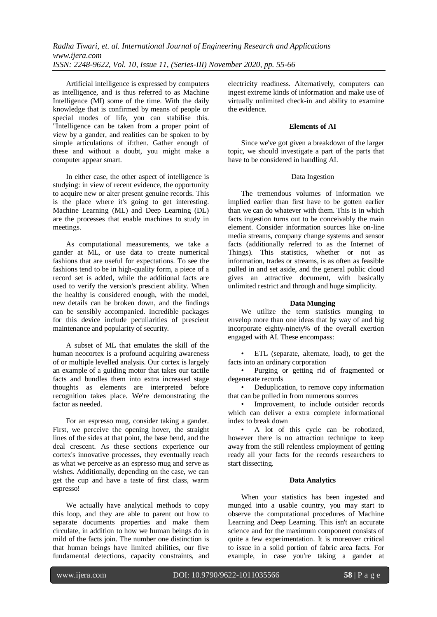Artificial intelligence is expressed by computers as intelligence, and is thus referred to as Machine Intelligence (MI) some of the time. With the daily knowledge that is confirmed by means of people or special modes of life, you can stabilise this. "Intelligence can be taken from a proper point of view by a gander, and realities can be spoken to by simple articulations of if:then. Gather enough of these and without a doubt, you might make a computer appear smart.

In either case, the other aspect of intelligence is studying: in view of recent evidence, the opportunity to acquire new or alter present genuine records. This is the place where it's going to get interesting. Machine Learning (ML) and Deep Learning (DL) are the processes that enable machines to study in meetings.

As computational measurements, we take a gander at ML, or use data to create numerical fashions that are useful for expectations. To see the fashions tend to be in high-quality form, a piece of a record set is added, while the additional facts are used to verify the version's prescient ability. When the healthy is considered enough, with the model, new details can be broken down, and the findings can be sensibly accompanied. Incredible packages for this device include peculiarities of prescient maintenance and popularity of security.

A subset of ML that emulates the skill of the human neocortex is a profound acquiring awareness of or multiple levelled analysis. Our cortex is largely an example of a guiding motor that takes our tactile facts and bundles them into extra increased stage thoughts as elements are interpreted before recognition takes place. We're demonstrating the factor as needed.

For an espresso mug, consider taking a gander. First, we perceive the opening hover, the straight lines of the sides at that point, the base bend, and the deal crescent. As these sections experience our cortex's innovative processes, they eventually reach as what we perceive as an espresso mug and serve as wishes. Additionally, depending on the case, we can get the cup and have a taste of first class, warm espresso!

We actually have analytical methods to copy this loop, and they are able to parent out how to separate documents properties and make them circulate, in addition to how we human beings do in mild of the facts join. The number one distinction is that human beings have limited abilities, our five fundamental detections, capacity constraints, and electricity readiness. Alternatively, computers can ingest extreme kinds of information and make use of virtually unlimited check-in and ability to examine the evidence.

#### **Elements of AI**

Since we've got given a breakdown of the larger topic, we should investigate a part of the parts that have to be considered in handling AI.

#### Data Ingestion

The tremendous volumes of information we implied earlier than first have to be gotten earlier than we can do whatever with them. This is in which facts ingestion turns out to be conceivably the main element. Consider information sources like on-line media streams, company change systems and sensor facts (additionally referred to as the Internet of Things). This statistics, whether or not as information, trades or streams, is as often as feasible pulled in and set aside, and the general public cloud gives an attractive document, with basically unlimited restrict and through and huge simplicity.

#### **Data Munging**

We utilize the term statistics munging to envelop more than one ideas that by way of and big incorporate eighty-ninety% of the overall exertion engaged with AI. These encompass:

• ETL (separate, alternate, load), to get the facts into an ordinary corporation

• Purging or getting rid of fragmented or degenerate records

• Deduplication, to remove copy information that can be pulled in from numerous sources

• Improvement, to include outsider records which can deliver a extra complete informational index to break down

• A lot of this cycle can be robotized, however there is no attraction technique to keep away from the still relentless employment of getting ready all your facts for the records researchers to start dissecting.

#### **Data Analytics**

When your statistics has been ingested and munged into a usable country, you may start to observe the computational procedures of Machine Learning and Deep Learning. This isn't an accurate science and for the maximum component consists of quite a few experimentation. It is moreover critical to issue in a solid portion of fabric area facts. For example, in case you're taking a gander at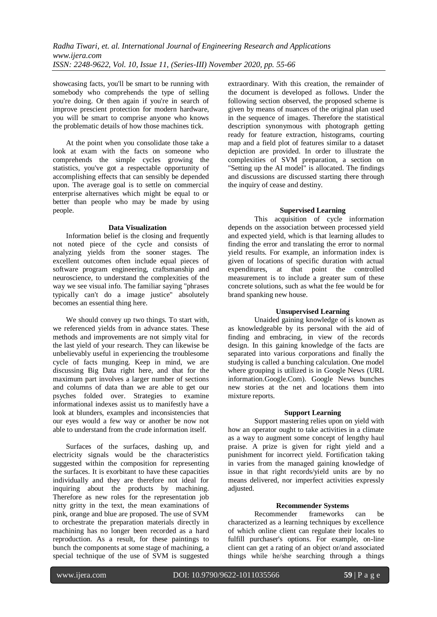showcasing facts, you'll be smart to be running with somebody who comprehends the type of selling you're doing. Or then again if you're in search of improve prescient protection for modern hardware, you will be smart to comprise anyone who knows the problematic details of how those machines tick.

At the point when you consolidate those take a look at exam with the facts on someone who comprehends the simple cycles growing the statistics, you've got a respectable opportunity of accomplishing effects that can sensibly be depended upon. The average goal is to settle on commercial enterprise alternatives which might be equal to or better than people who may be made by using people.

#### **Data Visualization**

Information belief is the closing and frequently not noted piece of the cycle and consists of analyzing yields from the sooner stages. The excellent outcomes often include equal pieces of software program engineering, craftsmanship and neuroscience, to understand the complexities of the way we see visual info. The familiar saying "phrases typically can't do a image justice" absolutely becomes an essential thing here.

We should convey up two things. To start with, we referenced yields from in advance states. These methods and improvements are not simply vital for the last yield of your research. They can likewise be unbelievably useful in experiencing the troublesome cycle of facts munging. Keep in mind, we are discussing Big Data right here, and that for the maximum part involves a larger number of sections and columns of data than we are able to get our psyches folded over. Strategies to examine informational indexes assist us to manifestly have a look at blunders, examples and inconsistencies that our eyes would a few way or another be now not able to understand from the crude information itself.

Surfaces of the surfaces, dashing up, and electricity signals would be the characteristics suggested within the composition for representing the surfaces. It is exorbitant to have these capacities individually and they are therefore not ideal for inquiring about the products by machining. Therefore as new roles for the representation job nitty gritty in the text, the mean examinations of pink, orange and blue are proposed. The use of SVM to orchestrate the preparation materials directly in machining has no longer been recorded as a hard reproduction. As a result, for these paintings to bunch the components at some stage of machining, a special technique of the use of SVM is suggested

extraordinary. With this creation, the remainder of the document is developed as follows. Under the following section observed, the proposed scheme is given by means of nuances of the original plan used in the sequence of images. Therefore the statistical description synonymous with photograph getting ready for feature extraction, histograms, courting map and a field plot of features similar to a dataset depiction are provided. In order to illustrate the complexities of SVM preparation, a section on "Setting up the AI model" is allocated. The findings and discussions are discussed starting there through the inquiry of cease and destiny.

#### **Supervised Learning**

This acquisition of cycle information depends on the association between processed yield and expected yield, which is that learning alludes to finding the error and translating the error to normal yield results. For example, an information index is given of locations of specific duration with actual expenditures, at that point the controlled measurement is to include a greater sum of these concrete solutions, such as what the fee would be for brand spanking new house.

#### **Unsupervised Learning**

Unaided gaining knowledge of is known as as knowledgeable by its personal with the aid of finding and embracing, in view of the records design. In this gaining knowledge of the facts are separated into various corporations and finally the studying is called a bunching calculation. One model where grouping is utilized is in Google News (URL information.Google.Com). Google News bunches new stories at the net and locations them into mixture reports.

#### **Support Learning**

Support mastering relies upon on yield with how an operator ought to take activities in a climate as a way to augment some concept of lengthy haul praise. A prize is given for right yield and a punishment for incorrect yield. Fortification taking in varies from the managed gaining knowledge of issue in that right records/yield units are by no means delivered, nor imperfect activities expressly adjusted.

#### **Recommender Systems**

Recommender frameworks can be characterized as a learning techniques by excellence of which online client can regulate their locales to fulfill purchaser's options. For example, on-line client can get a rating of an object or/and associated things while he/she searching through a things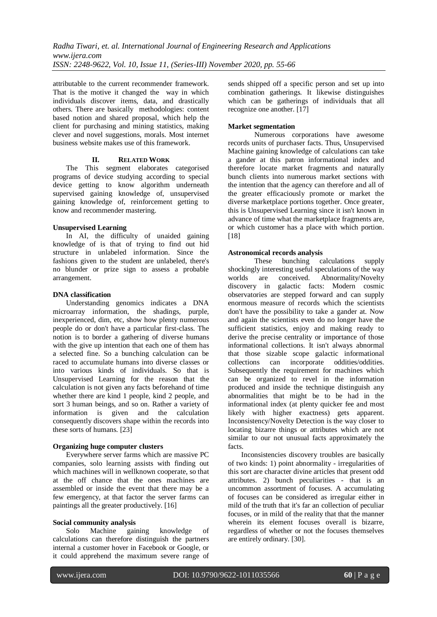attributable to the current recommender framework. That is the motive it changed the way in which individuals discover items, data, and drastically others. There are basically methodologies: content based notion and shared proposal, which help the client for purchasing and mining statistics, making clever and novel suggestions, morals. Most internet business website makes use of this framework.

#### **II. RELATED WORK**

The This segment elaborates categorised programs of device studying according to special device getting to know algorithm underneath supervised gaining knowledge of, unsupervised gaining knowledge of, reinforcement getting to know and recommender mastering.

## **Unsupervised Learning**

In AI, the difficulty of unaided gaining knowledge of is that of trying to find out hid structure in unlabeled information. Since the fashions given to the student are unlabeled, there's no blunder or prize sign to assess a probable arrangement.

## **DNA classification**

Understanding genomics indicates a DNA microarray information, the shadings, purple, inexperienced, dim, etc, show how plenty numerous people do or don't have a particular first-class. The notion is to border a gathering of diverse humans with the give up intention that each one of them has a selected fine. So a bunching calculation can be raced to accumulate humans into diverse classes or into various kinds of individuals. So that is Unsupervised Learning for the reason that the calculation is not given any facts beforehand of time whether there are kind 1 people, kind 2 people, and sort 3 human beings, and so on. Rather a variety of information is given and the calculation consequently discovers shape within the records into these sorts of humans. [23]

## **Organizing huge computer clusters**

Everywhere server farms which are massive PC companies, solo learning assists with finding out which machines will in wellknown cooperate, so that at the off chance that the ones machines are assembled or inside the event that there may be a few emergency, at that factor the server farms can paintings all the greater productively. [16]

## **Social community analysis**

Solo Machine gaining knowledge of calculations can therefore distinguish the partners internal a customer hover in Facebook or Google, or it could apprehend the maximum severe range of

sends shipped off a specific person and set up into combination gatherings. It likewise distinguishes which can be gatherings of individuals that all recognize one another. [17]

### **Market segmentation**

Numerous corporations have awesome records units of purchaser facts. Thus, Unsupervised Machine gaining knowledge of calculations can take a gander at this patron informational index and therefore locate market fragments and naturally bunch clients into numerous market sections with the intention that the agency can therefore and all of the greater efficaciously promote or market the diverse marketplace portions together. Once greater, this is Unsupervised Learning since it isn't known in advance of time what the marketplace fragments are, or which customer has a place with which portion. [18]

#### **Astronomical records analysis**

These bunching calculations supply shockingly interesting useful speculations of the way worlds are conceived. Abnormality/Novelty discovery in galactic facts: Modern cosmic observatories are stepped forward and can supply enormous measure of records which the scientists don't have the possibility to take a gander at. Now and again the scientists even do no longer have the sufficient statistics, enjoy and making ready to derive the precise centrality or importance of those informational collections. It isn't always abnormal that those sizable scope galactic informational collections can incorporate oddities/oddities. Subsequently the requirement for machines which can be organized to revel in the information produced and inside the technique distinguish any abnormalities that might be to be had in the informational index (at plenty quicker fee and most likely with higher exactness) gets apparent. Inconsistency/Novelty Detection is the way closer to locating bizarre things or attributes which are not similar to our not unusual facts approximately the facts.

Inconsistencies discovery troubles are basically of two kinds: 1) point abnormality - irregularities of this sort are character divine articles that present odd attributes. 2) bunch peculiarities - that is an uncommon assortment of focuses. A accumulating of focuses can be considered as irregular either in mild of the truth that it's far an collection of peculiar focuses, or in mild of the reality that that the manner wherein its element focuses overall is bizarre, regardless of whether or not the focuses themselves are entirely ordinary. [30].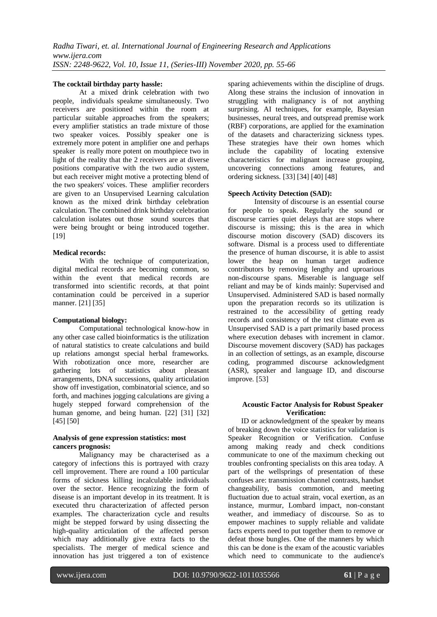#### **The cocktail birthday party hassle:**

At a mixed drink celebration with two people, individuals speakme simultaneously. Two receivers are positioned within the room at particular suitable approaches from the speakers; every amplifier statistics an trade mixture of those two speaker voices. Possibly speaker one is extremely more potent in amplifier one and perhaps speaker is really more potent on mouthpiece two in light of the reality that the 2 receivers are at diverse positions comparative with the two audio system, but each receiver might motive a protecting blend of the two speakers' voices. These amplifier recorders are given to an Unsupervised Learning calculation known as the mixed drink birthday celebration calculation. The combined drink birthday celebration calculation isolates out those sound sources that were being brought or being introduced together. [19]

#### **Medical records:**

With the technique of computerization, digital medical records are becoming common, so within the event that medical records are transformed into scientific records, at that point contamination could be perceived in a superior manner. [21] [35]

## **Computational biology:**

Computational technological know-how in any other case called bioinformatics is the utilization of natural statistics to create calculations and build up relations amongst special herbal frameworks. With robotization once more, researcher are gathering lots of statistics about pleasant arrangements, DNA successions, quality articulation show off investigation, combinatorial science, and so forth, and machines jogging calculations are giving a hugely stepped forward comprehension of the human genome, and being human. [22] [31] [32] [45] [50]

#### **Analysis of gene expression statistics: most cancers prognosis:**

Malignancy may be characterised as a category of infections this is portrayed with crazy cell improvement. There are round a 100 particular forms of sickness killing incalculable individuals over the sector. Hence recognizing the form of disease is an important develop in its treatment. It is executed thru characterization of affected person examples. The characterization cycle and results might be stepped forward by using dissecting the high-quality articulation of the affected person which may additionally give extra facts to the specialists. The merger of medical science and innovation has just triggered a ton of existence

sparing achievements within the discipline of drugs. Along these strains the inclusion of innovation in struggling with malignancy is of not anything surprising. AI techniques, for example, Bayesian businesses, neural trees, and outspread premise work (RBF) corporations, are applied for the examination of the datasets and characterizing sickness types. These strategies have their own homes which include the capability of locating extensive characteristics for malignant increase grouping, uncovering connections among features, and ordering sickness. [33] [34] [40] [48]

## **Speech Activity Detection (SAD):**

Intensity of discourse is an essential course for people to speak. Regularly the sound or discourse carries quiet delays that are stops where discourse is missing; this is the area in which discourse motion discovery (SAD) discovers its software. Dismal is a process used to differentiate the presence of human discourse, it is able to assist lower the heap on human target audience contributors by removing lengthy and uproarious non-discourse spans. Miserable is language self reliant and may be of kinds mainly: Supervised and Unsupervised. Administered SAD is based normally upon the preparation records so its utilization is restrained to the accessibility of getting ready records and consistency of the test climate even as Unsupervised SAD is a part primarily based process where execution debases with increment in clamor. Discourse movement discovery (SAD) has packages in an collection of settings, as an example, discourse coding, programmed discourse acknowledgment (ASR), speaker and language ID, and discourse improve. [53]

#### **Acoustic Factor Analysis for Robust Speaker Verification:**

ID or acknowledgment of the speaker by means of breaking down the voice statistics for validation is Speaker Recognition or Verification. Confuse among making ready and check conditions communicate to one of the maximum checking out troubles confronting specialists on this area today. A part of the wellsprings of presentation of these confuses are: transmission channel contrasts, handset changeability, basis commotion, and meeting fluctuation due to actual strain, vocal exertion, as an instance, murmur, Lombard impact, non-constant weather, and immediacy of discourse. So as to empower machines to supply reliable and validate facts experts need to put together them to remove or defeat those bungles. One of the manners by which this can be done is the exam of the acoustic variables which need to communicate to the audience's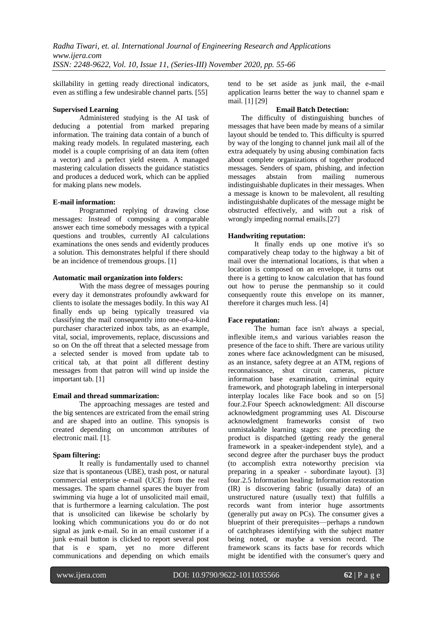skillability in getting ready directional indicators, even as stifling a few undesirable channel parts. [55]

## **Supervised Learning**

Administered studying is the AI task of deducing a potential from marked preparing information. The training data contain of a bunch of making ready models. In regulated mastering, each model is a couple comprising of an data item (often a vector) and a perfect yield esteem. A managed mastering calculation dissects the guidance statistics and produces a deduced work, which can be applied for making plans new models.

#### **E-mail information:**

Programmed replying of drawing close messages: Instead of composing a comparable answer each time somebody messages with a typical questions and troubles, currently AI calculations examinations the ones sends and evidently produces a solution. This demonstrates helpful if there should be an incidence of tremendous groups. [1]

### **Automatic mail organization into folders:**

With the mass degree of messages pouring every day it demonstrates profoundly awkward for clients to isolate the messages bodily. In this way AI finally ends up being typically treasured via classifying the mail consequently into one-of-a-kind purchaser characterized inbox tabs, as an example, vital, social, improvements, replace, discussions and so on On the off threat that a selected message from a selected sender is moved from update tab to critical tab, at that point all different destiny messages from that patron will wind up inside the important tab. [1]

## **Email and thread summarization:**

The approaching messages are tested and the big sentences are extricated from the email string and are shaped into an outline. This synopsis is created depending on uncommon attributes of electronic mail. [1].

## **Spam filtering:**

It really is fundamentally used to channel size that is spontaneous (UBE), trash post, or natural commercial enterprise e-mail (UCE) from the real messages. The spam channel spares the buyer from swimming via huge a lot of unsolicited mail email, that is furthermore a learning calculation. The post that is unsolicited can likewise be scholarly by looking which communications you do or do not signal as junk e-mail. So in an email customer if a junk e-mail button is clicked to report several post that is e spam, yet no more different communications and depending on which emails

tend to be set aside as junk mail, the e-mail application learns better the way to channel spam e mail. [1] [29]

#### **Email Batch Detection:**

The difficulty of distinguishing bunches of messages that have been made by means of a similar layout should be tended to. This difficulty is spurred by way of the longing to channel junk mail all of the extra adequately by using abusing combination facts about complete organizations of together produced messages. Senders of spam, phishing, and infection messages abstain from mailing numerous indistinguishable duplicates in their messages. When a message is known to be malevolent, all resulting indistinguishable duplicates of the message might be obstructed effectively, and with out a risk of wrongly impeding normal emails.[27]

## **Handwriting reputation:**

It finally ends up one motive it's so comparatively cheap today to the highway a bit of mail over the international locations, is that when a location is composed on an envelope, it turns out there is a getting to know calculation that has found out how to peruse the penmanship so it could consequently route this envelope on its manner, therefore it charges much less. [4]

## **Face reputation:**

The human face isn't always a special, inflexible item,s and various variables reason the presence of the face to shift. There are various utility zones where face acknowledgment can be misused, as an instance, safety degree at an ATM, regions of reconnaissance, shut circuit cameras, picture information base examination, criminal equity framework, and photograph labeling in interpersonal interplay locales like Face book and so on [5] four.2.Four Speech acknowledgment: All discourse acknowledgment programming uses AI. Discourse acknowledgment frameworks consist of two unmistakable learning stages: one preceding the product is dispatched (getting ready the general framework in a speaker-independent style), and a second degree after the purchaser buys the product (to accomplish extra noteworthy precision via preparing in a speaker - subordinate layout). [3] four.2.5 Information healing: Information restoration (IR) is discovering fabric (usually data) of an unstructured nature (usually text) that fulfills a records want from interior huge assortments (generally put away on PCs). The consumer gives a blueprint of their prerequisites—perhaps a rundown of catchphrases identifying with the subject matter being noted, or maybe a version record. The framework scans its facts base for records which might be identified with the consumer's query and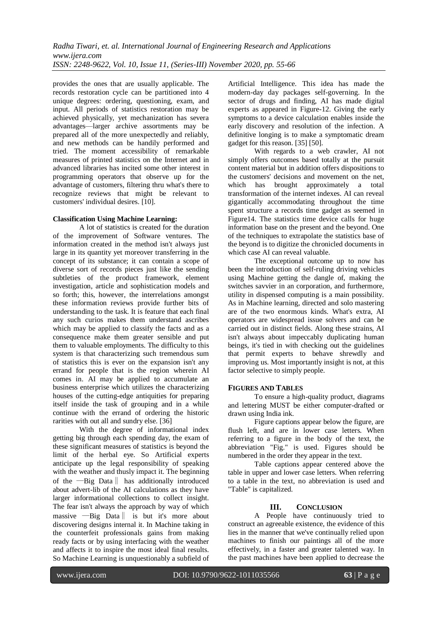provides the ones that are usually applicable. The records restoration cycle can be partitioned into 4 unique degrees: ordering, questioning, exam, and input. All periods of statistics restoration may be achieved physically, yet mechanization has severa advantages—larger archive assortments may be prepared all of the more unexpectedly and reliably, and new methods can be handily performed and tried. The moment accessibility of remarkable measures of printed statistics on the Internet and in advanced libraries has incited some other interest in programming operators that observe up for the advantage of customers, filtering thru what's there to recognize reviews that might be relevant to customers' individual desires. [10].

## **Classification Using Machine Learning:**

A lot of statistics is created for the duration of the improvement of Software ventures. The information created in the method isn't always just large in its quantity yet moreover transferring in the concept of its substance; it can contain a scope of diverse sort of records pieces just like the sending subtleties of the product framework, element investigation, article and sophistication models and so forth; this, however, the interrelations amongst these information reviews provide further bits of understanding to the task. It is feature that each final any such curios makes them understand ascribes which may be applied to classify the facts and as a consequence make them greater sensible and put them to valuable employments. The difficulty to this system is that characterizing such tremendous sum of statistics this is ever on the expansion isn't any errand for people that is the region wherein AI comes in. AI may be applied to accumulate an business enterprise which utilizes the characterizing houses of the cutting-edge antiquities for preparing itself inside the task of grouping and in a while continue with the errand of ordering the historic rarities with out all and sundry else. [36]

With the degree of informational index getting big through each spending day, the exam of these significant measures of statistics is beyond the limit of the herbal eye. So Artificial experts anticipate up the legal responsibility of speaking with the weather and thusly impact it. The beginning of the ―Big Data‖ has additionally introduced about advert-lib of the AI calculations as they have larger informational collections to collect insight. The fear isn't always the approach by way of which massive ―Big Data‖ is but it's more about discovering designs internal it. In Machine taking in the counterfeit professionals gains from making ready facts or by using interfacing with the weather and affects it to inspire the most ideal final results. So Machine Learning is unquestionably a subfield of

Artificial Intelligence. This idea has made the modern-day day packages self-governing. In the sector of drugs and finding, AI has made digital experts as appeared in Figure-12. Giving the early symptoms to a device calculation enables inside the early discovery and resolution of the infection. A definitive longing is to make a symptomatic dream gadget for this reason. [35] [50].

With regards to a web crawler, AI not simply offers outcomes based totally at the pursuit content material but in addition offers dispositions to the customers' decisions and movement on the net, which has brought approximately a total transformation of the internet indexes. AI can reveal gigantically accommodating throughout the time spent structure a records time gadget as seemed in Figure14. The statistics time device calls for huge information base on the present and the beyond. One of the techniques to extrapolate the statistics base of the beyond is to digitize the chronicled documents in which case AI can reveal valuable.

The exceptional outcome up to now has been the introduction of self-ruling driving vehicles using Machine getting the dangle of, making the switches savvier in an corporation, and furthermore, utility in dispensed computing is a main possibility. As in Machine learning, directed and solo mastering are of the two enormous kinds. What's extra, AI operators are widespread issue solvers and can be carried out in distinct fields. Along these strains, AI isn't always about impeccably duplicating human beings, it's tied in with checking out the guidelines that permit experts to behave shrewdly and improving us. Most importantly insight is not, at this factor selective to simply people.

## **FIGURES AND TABLES**

To ensure a high-quality product, diagrams and lettering MUST be either computer-drafted or drawn using India ink.

Figure captions appear below the figure, are flush left, and are in lower case letters. When referring to a figure in the body of the text, the abbreviation "Fig." is used. Figures should be numbered in the order they appear in the text.

Table captions appear centered above the table in upper and lower case letters. When referring to a table in the text, no abbreviation is used and "Table" is capitalized.

# **III. CONCLUSION**

A People have continuously tried to construct an agreeable existence, the evidence of this lies in the manner that we've continually relied upon machines to finish our paintings all of the more effectively, in a faster and greater talented way. In the past machines have been applied to decrease the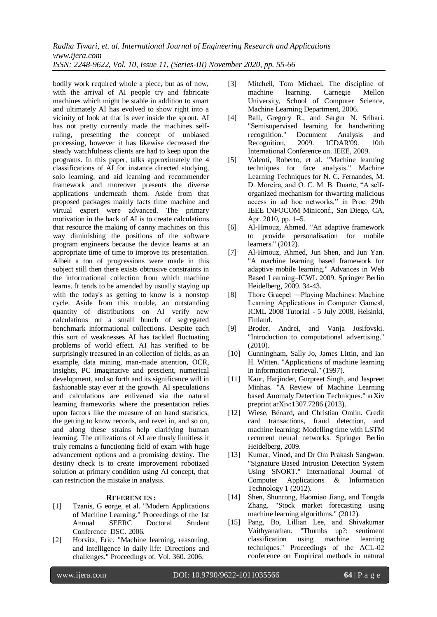*Radha Tiwari, et. al. International Journal of Engineering Research and Applications www.ijera.com ISSN: 2248-9622, Vol. 10, Issue 11, (Series-III) November 2020, pp. 55-66*

bodily work required whole a piece, but as of now, with the arrival of AI people try and fabricate machines which might be stable in addition to smart and ultimately AI has evolved to show right into a vicinity of look at that is ever inside the sprout. AI has not pretty currently made the machines selfruling, presenting the concept of unbiased processing, however it has likewise decreased the steady watchfulness clients are had to keep upon the programs. In this paper, talks approximately the 4 classifications of AI for instance directed studying, solo learning, and aid learning and recommender framework and moreover presents the diverse applications underneath them. Aside from that proposed packages mainly facts time machine and virtual expert were advanced. The primary motivation in the back of AI is to create calculations that resource the making of canny machines on this way diminishing the positions of the software program engineers because the device learns at an appropriate time of time to improve its presentation. Albeit a ton of progressions were made in this subject still then there exists obtrusive constraints in the informational collection from which machine learns. It tends to be amended by usually staying up with the today's as getting to know is a nonstop cycle. Aside from this trouble, an outstanding quantity of distributions on AI verify new calculations on a small bunch of segregated benchmark informational collections. Despite each this sort of weaknesses AI has tackled fluctuating problems of world effect. AI has verified to be surprisingly treasured in an collection of fields, as an example, data mining, man-made attention, OCR, insights, PC imaginative and prescient, numerical development, and so forth and its significance will in fashionable stay ever at the growth. AI speculations and calculations are enlivened via the natural learning frameworks where the presentation relies upon factors like the measure of on hand statistics, the getting to know records, and revel in, and so on, and along these strains help clarifying human learning. The utilizations of AI are thusly limitless it truly remains a functioning field of exam with huge advancement options and a promising destiny. The destiny check is to create improvement robotized solution at primary condition using AI concept, that can restriction the mistake in analysis.

## **REFERENCES :**

- [1] Tzanis, G eorge, et al. "Modern Applications of Machine Learning." Proceedings of the 1st Annual SEERC Doctoral Student Conference–DSC. 2006.
- [2] Horvitz, Eric. "Machine learning, reasoning, and intelligence in daily life: Directions and challenges." Proceedings of. Vol. 360. 2006.
- [3] Mitchell, Tom Michael. The discipline of machine learning. Carnegie Mellon University, School of Computer Science, Machine Learning Department, 2006.
- [4] Ball, Gregory R., and Sargur N. Srihari. "Semisupervised learning for handwriting recognition." Document Analysis and Recognition, 2009. ICDAR'09. 10th International Conference on. IEEE, 2009.
- [5] Valenti, Roberto, et al. "Machine learning techniques for face analysis." Machine Learning Techniques for N. C. Fernandes, M. D. Moreira, and O. C. M. B. Duarte, "A selforganized mechanism for thwarting malicious access in ad hoc networks," in Proc. 29th IEEE INFOCOM Miniconf., San Diego, CA, Apr. 2010, pp. 1–5.
- [6] Al-Hmouz, Ahmed. "An adaptive framework to provide personalisation for mobile learners." (2012).
- [7] Al-Hmouz, Ahmed, Jun Shen, and Jun Yan. "A machine learning based framework for adaptive mobile learning." Advances in Web Based Learning–ICWL 2009. Springer Berlin Heidelberg, 2009. 34-43.
- [8] Thore Graepel ―Playing Machines: Machine Learning Applications in Computer Games‖, ICML 2008 Tutorial - 5 July 2008, Helsinki, Finland.
- [9] Broder, Andrei, and Vanja Josifovski. "Introduction to computational advertising." (2010).
- [10] Cunningham, Sally Jo, James Littin, and Ian H. Witten. "Applications of machine learning in information retrieval." (1997).
- [11] Kaur, Harjinder, Gurpreet Singh, and Jaspreet Minhas. "A Review of Machine Learning based Anomaly Detection Techniques." arXiv preprint arXiv:1307.7286 (2013).
- [12] Wiese, Bénard, and Christian Omlin. Credit card transactions, fraud detection, and machine learning: Modelling time with LSTM recurrent neural networks. Springer Berlin Heidelberg, 2009.
- [13] Kumar, Vinod, and Dr Om Prakash Sangwan. "Signature Based Intrusion Detection System Using SNORT." International Journal of Computer Applications & Information Technology 1 (2012).
- [14] Shen, Shunrong, Haomiao Jiang, and Tongda Zhang. "Stock market forecasting using machine learning algorithms." (2012).
- [15] Pang, Bo, Lillian Lee, and Shivakumar Vaithyanathan. "Thumbs up?: sentiment classification using machine learning techniques." Proceedings of the ACL-02 conference on Empirical methods in natural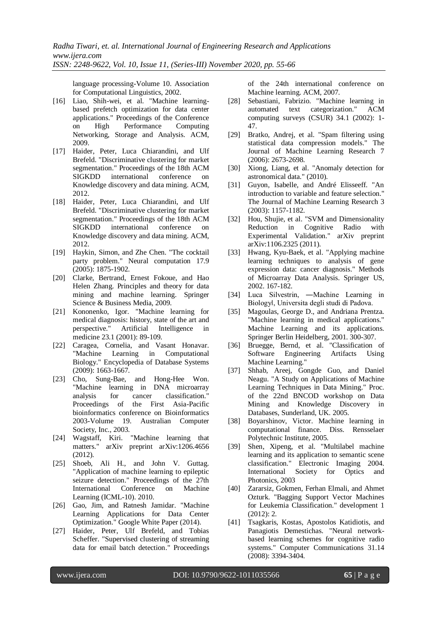language processing-Volume 10. Association for Computational Linguistics, 2002.

- [16] Liao, Shih-wei, et al. "Machine learningbased prefetch optimization for data center applications." Proceedings of the Conference on High Performance Computing Networking, Storage and Analysis. ACM, 2009.
- [17] Haider, Peter, Luca Chiarandini, and Ulf Brefeld. "Discriminative clustering for market segmentation." Proceedings of the 18th ACM SIGKDD international conference on Knowledge discovery and data mining. ACM, 2012.
- [18] Haider, Peter, Luca Chiarandini, and Ulf Brefeld. "Discriminative clustering for market segmentation." Proceedings of the 18th ACM SIGKDD international conference on Knowledge discovery and data mining. ACM, 2012.
- [19] Haykin, Simon, and Zhe Chen. "The cocktail party problem." Neural computation 17.9 (2005): 1875-1902.
- [20] Clarke, Bertrand, Ernest Fokoue, and Hao Helen Zhang. Principles and theory for data mining and machine learning. Springer Science & Business Media, 2009.
- [21] Kononenko, Igor. "Machine learning for medical diagnosis: history, state of the art and perspective." Artificial Intelligence in medicine 23.1 (2001): 89-109.
- [22] Caragea, Cornelia, and Vasant Honavar. "Machine Learning in Computational Biology." Encyclopedia of Database Systems (2009): 1663-1667.
- [23] Cho, Sung-Bae, and Hong-Hee Won. "Machine learning in DNA microarray analysis for cancer classification." Proceedings of the First Asia-Pacific bioinformatics conference on Bioinformatics 2003-Volume 19. Australian Computer Society, Inc., 2003.
- [24] Wagstaff, Kiri. "Machine learning that matters." arXiv preprint arXiv:1206.4656 (2012).
- [25] Shoeb, Ali H., and John V. Guttag. "Application of machine learning to epileptic seizure detection." Proceedings of the 27th International Conference on Machine Learning (ICML-10). 2010.
- [26] Gao, Jim, and Ratnesh Jamidar. "Machine Learning Applications for Data Center Optimization." Google White Paper (2014).
- [27] Haider, Peter, Ulf Brefeld, and Tobias Scheffer. "Supervised clustering of streaming data for email batch detection." Proceedings

of the 24th international conference on Machine learning. ACM, 2007.

- [28] Sebastiani, Fabrizio. "Machine learning in automated text categorization." ACM computing surveys (CSUR) 34.1 (2002): 1- 47.
- [29] Bratko, Andrej, et al. "Spam filtering using statistical data compression models." The Journal of Machine Learning Research 7 (2006): 2673-2698.
- [30] Xiong, Liang, et al. "Anomaly detection for astronomical data." (2010).
- [31] Guyon, Isabelle, and André Elisseeff. "An introduction to variable and feature selection." The Journal of Machine Learning Research 3 (2003): 1157-1182.
- [32] Hou, Shujie, et al. "SVM and Dimensionality Reduction in Cognitive Radio with Experimental Validation." arXiv preprint arXiv:1106.2325 (2011).
- [33] Hwang, Kyu-Baek, et al. "Applying machine learning techniques to analysis of gene expression data: cancer diagnosis." Methods of Microarray Data Analysis. Springer US, 2002. 167-182.
- [34] Luca Silvestrin, ―Machine Learning in Biology‖, Universita degli studi di Padova.
- [35] Magoulas, George D., and Andriana Prentza. "Machine learning in medical applications." Machine Learning and its applications. Springer Berlin Heidelberg, 2001. 300-307.
- [36] Bruegge, Bernd, et al. "Classification of Software Engineering Artifacts Using Machine Learning."
- [37] Shhab, Areej, Gongde Guo, and Daniel Neagu. "A Study on Applications of Machine Learning Techniques in Data Mining." Proc. of the 22nd BNCOD workshop on Data Mining and Knowledge Discovery in Databases, Sunderland, UK. 2005.
- [38] Boyarshinov, Victor. Machine learning in computational finance. Diss. Rensselaer Polytechnic Institute, 2005.
- [39] Shen, Xipeng, et al. "Multilabel machine learning and its application to semantic scene classification." Electronic Imaging 2004. International Society for Optics and Photonics, 2003
- [40] Zararsiz, Gokmen, Ferhan Elmali, and Ahmet Ozturk. "Bagging Support Vector Machines for Leukemia Classification." development 1 (2012): 2.
- [41] Tsagkaris, Kostas, Apostolos Katidiotis, and Panagiotis Demestichas. "Neural networkbased learning schemes for cognitive radio systems." Computer Communications 31.14 (2008): 3394-3404.